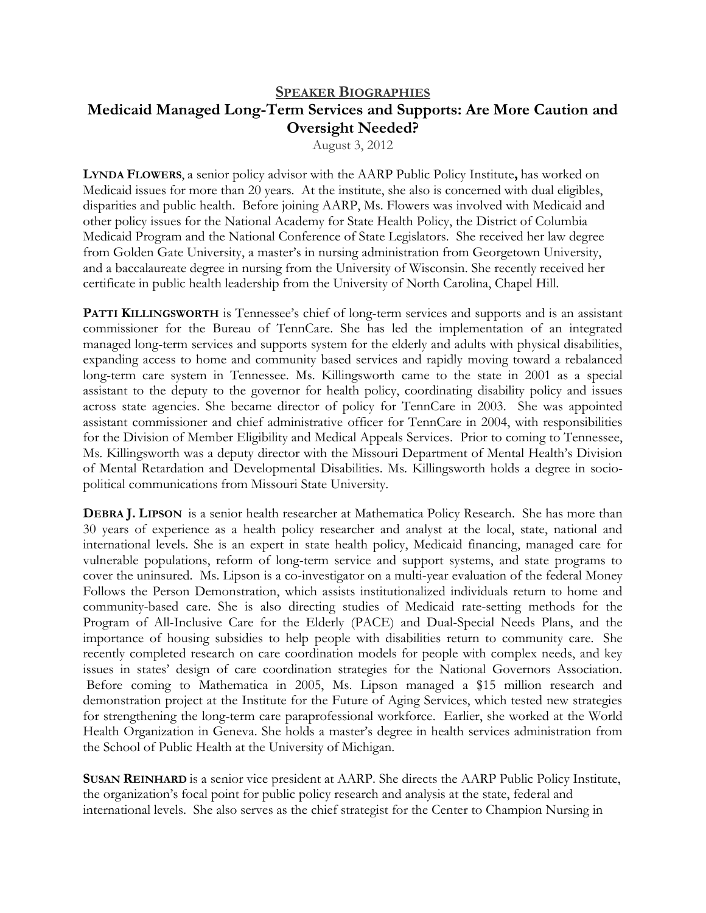## **SPEAKER BIOGRAPHIES Medicaid Managed Long-Term Services and Supports: Are More Caution and Oversight Needed?**

August 3, 2012

**LYNDA FLOWERS**, a senior policy advisor with the AARP Public Policy Institute**,** has worked on Medicaid issues for more than 20 years. At the institute, she also is concerned with dual eligibles, disparities and public health. Before joining AARP, Ms. Flowers was involved with Medicaid and other policy issues for the National Academy for State Health Policy, the District of Columbia Medicaid Program and the National Conference of State Legislators. She received her law degree from Golden Gate University, a master's in nursing administration from Georgetown University, and a baccalaureate degree in nursing from the University of Wisconsin. She recently received her certificate in public health leadership from the University of North Carolina, Chapel Hill.

**PATTI KILLINGSWORTH** is Tennessee's chief of long-term services and supports and is an assistant commissioner for the Bureau of TennCare. She has led the implementation of an integrated managed long-term services and supports system for the elderly and adults with physical disabilities, expanding access to home and community based services and rapidly moving toward a rebalanced long-term care system in Tennessee. Ms. Killingsworth came to the state in 2001 as a special assistant to the deputy to the governor for health policy, coordinating disability policy and issues across state agencies. She became director of policy for TennCare in 2003. She was appointed assistant commissioner and chief administrative officer for TennCare in 2004, with responsibilities for the Division of Member Eligibility and Medical Appeals Services. Prior to coming to Tennessee, Ms. Killingsworth was a deputy director with the Missouri Department of Mental Health's Division of Mental Retardation and Developmental Disabilities. Ms. Killingsworth holds a degree in sociopolitical communications from Missouri State University.

**DEBRA <b>J.** LIPSON is a senior health researcher at Mathematica Policy Research. She has more than 30 years of experience as a health policy researcher and analyst at the local, state, national and international levels. She is an expert in state health policy, Medicaid financing, managed care for vulnerable populations, reform of long-term service and support systems, and state programs to cover the uninsured. Ms. Lipson is a co-investigator on a multi-year evaluation of the federal Money Follows the Person Demonstration, which assists institutionalized individuals return to home and community-based care. She is also directing studies of Medicaid rate-setting methods for the Program of All-Inclusive Care for the Elderly (PACE) and Dual-Special Needs Plans, and the importance of housing subsidies to help people with disabilities return to community care. She recently completed research on care coordination models for people with complex needs, and key issues in states' design of care coordination strategies for the National Governors Association. Before coming to Mathematica in 2005, Ms. Lipson managed a \$15 million research and demonstration project at the Institute for the Future of Aging Services, which tested new strategies for strengthening the long-term care paraprofessional workforce. Earlier, she worked at the World Health Organization in Geneva. She holds a master's degree in health services administration from the School of Public Health at the University of Michigan.

**SUSAN REINHARD** is a senior vice president at AARP. She directs the AARP Public Policy Institute, the organization's focal point for public policy research and analysis at the state, federal and international levels. She also serves as the chief strategist for the Center to Champion Nursing in